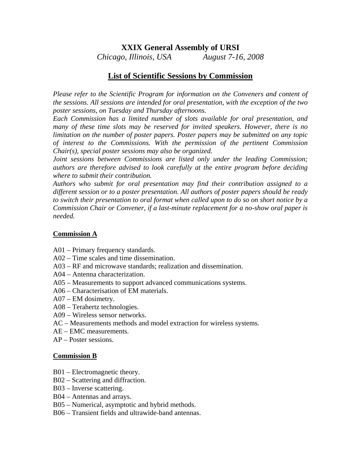# **XXIX General Assembly of URSI**

*Chicago, Illinois, USA August 7-16, 2008*

# **List of Scientific Sessions by Commission**

*Please refer to the Scientific Program for information on the Conveners and content of the sessions. All sessions are intended for oral presentation, with the exception of the two poster sessions, on Tuesday and Thursday afternoons.* 

*Each Commission has a limited number of slots available for oral presentation, and many of these time slots may be reserved for invited speakers. However, there is no limitation on the number of poster papers. Poster papers may be submitted on any topic of interest to the Commissions. With the permission of the pertinent Commission Chair(s), special poster sessions may also be organized.* 

*Joint sessions between Commissions are listed only under the leading Commission; authors are therefore advised to look carefully at the entire program before deciding where to submit their contribution.* 

*Authors who submit for oral presentation may find their contribution assigned to a different session or to a poster presentation. All authors of poster papers should be ready to switch their presentation to oral format when called upon to do so on short notice by a Commission Chair or Convener, if a last-minute replacement for a no-show oral paper is needed.* 

# **Commission A**

- A01 Primary frequency standards.
- A02 Time scales and time dissemination.
- A03 RF and microwave standards; realization and dissemination.
- A04 Antenna characterization.
- A05 Measurements to support advanced communications systems.
- A06 Characterisation of EM materials.
- A07 EM dosimetry.
- A08 Terahertz technologies.
- A09 Wireless sensor networks.
- AC Measurements methods and model extraction for wireless systems.
- AE EMC measurements.
- AP Poster sessions.

#### **Commission B**

- B01 Electromagnetic theory.
- B02 Scattering and diffraction.
- B03 Inverse scattering.
- B04 Antennas and arrays.
- B05 Numerical, asymptotic and hybrid methods.
- B06 Transient fields and ultrawide-band antennas.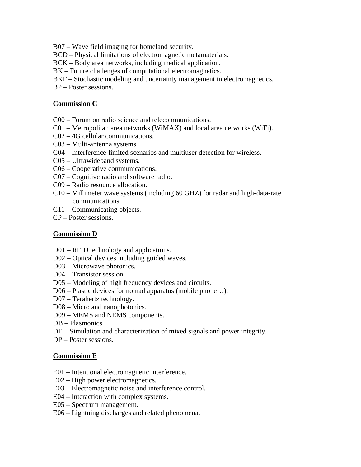B07 – Wave field imaging for homeland security.

BCD – Physical limitations of electromagnetic metamaterials.

BCK – Body area networks, including medical application.

BK – Future challenges of computational electromagnetics.

BKF – Stochastic modeling and uncertainty management in electromagnetics.

BP – Poster sessions.

### **Commission C**

- C00 Forum on radio science and telecommunications.
- C01 Metropolitan area networks (WiMAX) and local area networks (WiFi).
- C02 4G cellular communications.
- C03 Multi-antenna systems.
- C04 Interference-limited scenarios and multiuser detection for wireless.
- C05 Ultrawideband systems.
- C06 Cooperative communications.
- C07 Cognitive radio and software radio.
- C09 Radio resounce allocation.
- C10 Millimeter wave systems (including 60 GHZ) for radar and high-data-rate communications.
- C11 Communicating objects.
- CP Poster sessions.

### **Commission D**

- D01 RFID technology and applications.
- D02 Optical devices including guided waves.
- D03 Microwave photonics.
- D04 Transistor session.
- D05 Modeling of high frequency devices and circuits.
- D06 Plastic devices for nomad apparatus (mobile phone…).
- D07 Terahertz technology.
- D08 Micro and nanophotonics.
- D09 MEMS and NEMS components.
- DB Plasmonics.
- DE Simulation and characterization of mixed signals and power integrity.
- DP Poster sessions.

#### **Commission E**

- E01 Intentional electromagnetic interference.
- E02 High power electromagnetics.
- E03 Electromagnetic noise and interference control.
- E04 Interaction with complex systems.
- E05 Spectrum management.
- E06 Lightning discharges and related phenomena.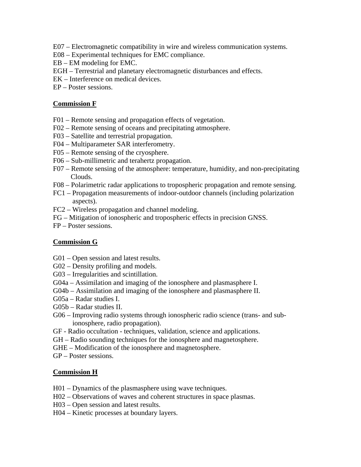- E07 Electromagnetic compatibility in wire and wireless communication systems.
- E08 Experimental techniques for EMC compliance.
- EB EM modeling for EMC.
- EGH Terrestrial and planetary electromagnetic disturbances and effects.
- EK Interference on medical devices.
- EP Poster sessions.

#### **Commission F**

- F01 Remote sensing and propagation effects of vegetation.
- F02 Remote sensing of oceans and precipitating atmosphere.
- F03 Satellite and terrestrial propagation.
- F04 Multiparameter SAR interferometry.
- F05 Remote sensing of the cryosphere.
- F06 Sub-millimetric and terahertz propagation.
- F07 Remote sensing of the atmosphere: temperature, humidity, and non-precipitating Clouds.
- F08 Polarimetric radar applications to tropospheric propagation and remote sensing.
- FC1 Propagation measurements of indoor-outdoor channels (including polarization aspects).
- FC2 Wireless propagation and channel modeling.
- FG Mitigation of ionospheric and tropospheric effects in precision GNSS.
- FP Poster sessions.

### **Commission G**

- G01 Open session and latest results.
- G02 Density profiling and models.
- G03 Irregularities and scintillation.
- G04a Assimilation and imaging of the ionosphere and plasmasphere I.
- G04b Assimilation and imaging of the ionosphere and plasmasphere II.
- G05a Radar studies I.
- G05b Radar studies II.
- G06 Improving radio systems through ionospheric radio science (trans- and sub ionosphere, radio propagation).
- GF Radio occultation techniques, validation, science and applications.
- GH Radio sounding techniques for the ionosphere and magnetosphere.
- GHE Modification of the ionosphere and magnetosphere.
- GP Poster sessions.

#### **Commission H**

- H01 Dynamics of the plasmasphere using wave techniques.
- H02 Observations of waves and coherent structures in space plasmas.
- H03 Open session and latest results.
- H04 Kinetic processes at boundary layers.